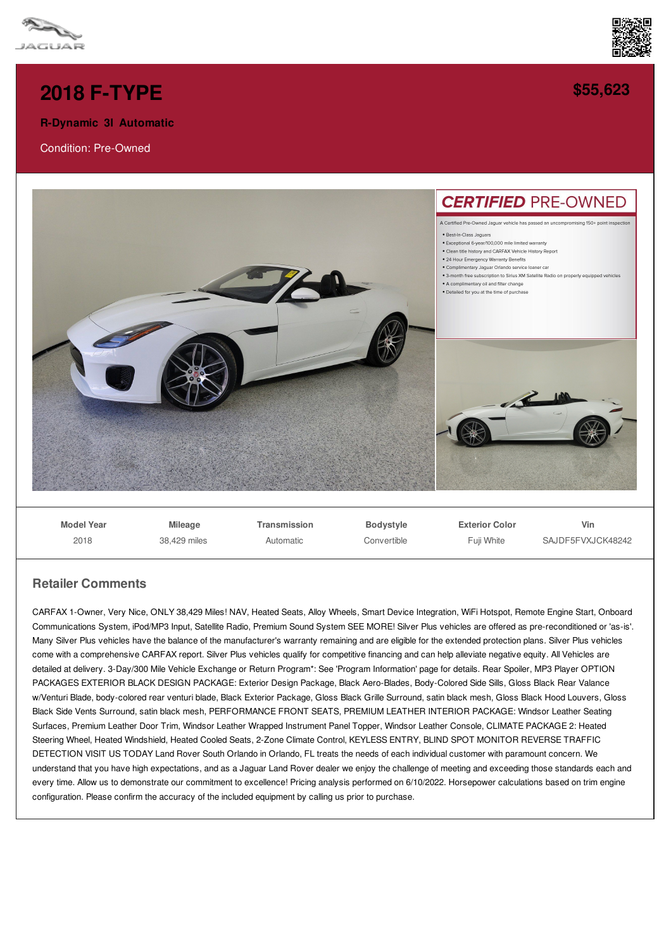



**[\\$55,623](/used-certified/pdf/)**

## **2018 [F-TYPE](/used-certified/pdf/)**

**R-Dynamic 3l Automatic**

Condition: Pre-Owned



## **Retailer Comments**

2018

38,429 miles

CARFAX 1-Owner, Very Nice, ONLY 38,429 Miles! NAV, Heated Seats, Alloy Wheels, Smart Device Integration, WiFi Hotspot, Remote Engine Start, Onboard Communications System, iPod/MP3 Input, Satellite Radio, Premium Sound System SEE MORE! Silver Plus vehicles are offered as pre-reconditioned or 'as-is'. Many Silver Plus vehicles have the balance of the manufacturer's warranty remaining and are eligible for the extended protection plans. Silver Plus vehicles come with a comprehensive CARFAX report. Silver Plus vehicles qualify for competitive financing and can help alleviate negative equity. All Vehicles are detailed at delivery. 3-Day/300 Mile Vehicle Exchange or Return Program\*: See 'Program Information' page for details. Rear Spoiler, MP3 Player OPTION PACKAGES EXTERIOR BLACK DESIGN PACKAGE: Exterior Design Package, Black Aero-Blades, Body-Colored Side Sills, Gloss Black Rear Valance w/Venturi Blade, body-colored rear venturi blade, Black Exterior Package, Gloss Black Grille Surround, satin black mesh, Gloss Black Hood Louvers, Gloss Black Side Vents Surround, satin black mesh, PERFORMANCE FRONT SEATS, PREMIUM LEATHER INTERIOR PACKAGE: Windsor Leather Seating Surfaces, Premium Leather Door Trim, Windsor Leather Wrapped Instrument Panel Topper, Windsor Leather Console, CLIMATE PACKAGE 2: Heated Steering Wheel, Heated Windshield, Heated Cooled Seats, 2-Zone Climate Control, KEYLESS ENTRY, BLIND SPOT MONITOR REVERSE TRAFFIC DETECTION VISIT US TODAY Land Rover South Orlando in Orlando, FL treats the needs of each individual customer with paramount concern. We understand that you have high expectations, and as a Jaguar Land Rover dealer we enjoy the challenge of meeting and exceeding those standards each and every time. Allow us to demonstrate our commitment to excellence! Pricing analysis performed on 6/10/2022. Horsepower calculations based on trim engine configuration. Please confirm the accuracy of the included equipment by calling us prior to purchase.

**Convertible** 

Fuji White

SAJDE5FVXJCK48242

Automatic